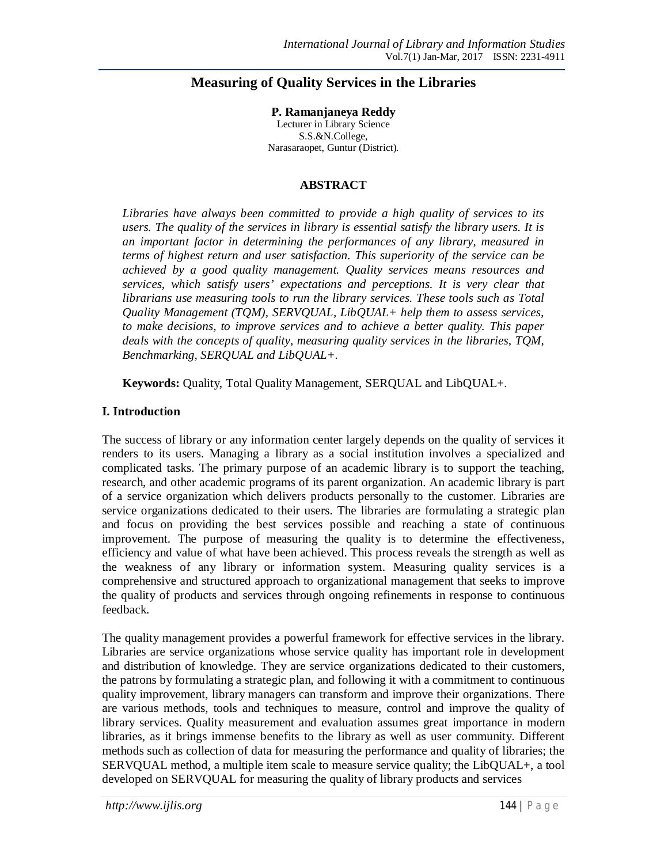# **Measuring of Quality Services in the Libraries**

**P. Ramanjaneya Reddy** Lecturer in Library Science S.S.&N.College, Narasaraopet, Guntur (District).

### **ABSTRACT**

*Libraries have always been committed to provide a high quality of services to its users. The quality of the services in library is essential satisfy the library users. It is an important factor in determining the performances of any library, measured in terms of highest return and user satisfaction. This superiority of the service can be achieved by a good quality management. Quality services means resources and services, which satisfy users' expectations and perceptions. It is very clear that librarians use measuring tools to run the library services. These tools such as Total Quality Management (TQM), SERVQUAL, LibQUAL+ help them to assess services, to make decisions, to improve services and to achieve a better quality. This paper deals with the concepts of quality, measuring quality services in the libraries, TQM, Benchmarking, SERQUAL and LibQUAL+.*

**Keywords:** Quality, Total Quality Management, SERQUAL and LibQUAL+.

## **I. Introduction**

The success of library or any information center largely depends on the quality of services it renders to its users. Managing a library as a social institution involves a specialized and complicated tasks. The primary purpose of an academic library is to support the teaching, research, and other academic programs of its parent organization. An academic library is part of a service organization which delivers products personally to the customer. Libraries are service organizations dedicated to their users. The libraries are formulating a strategic plan and focus on providing the best services possible and reaching a state of continuous improvement. The purpose of measuring the quality is to determine the effectiveness, efficiency and value of what have been achieved. This process reveals the strength as well as the weakness of any library or information system. Measuring quality services is a comprehensive and structured approach to organizational management that seeks to improve the quality of products and services through ongoing refinements in response to continuous feedback.

The quality management provides a powerful framework for effective services in the library. Libraries are service organizations whose service quality has important role in development and distribution of knowledge. They are service organizations dedicated to their customers, the patrons by formulating a strategic plan, and following it with a commitment to continuous quality improvement, library managers can transform and improve their organizations. There are various methods, tools and techniques to measure, control and improve the quality of library services. Quality measurement and evaluation assumes great importance in modern libraries, as it brings immense benefits to the library as well as user community. Different methods such as collection of data for measuring the performance and quality of libraries; the SERVQUAL method, a multiple item scale to measure service quality; the LibQUAL+, a tool developed on SERVQUAL for measuring the quality of library products and services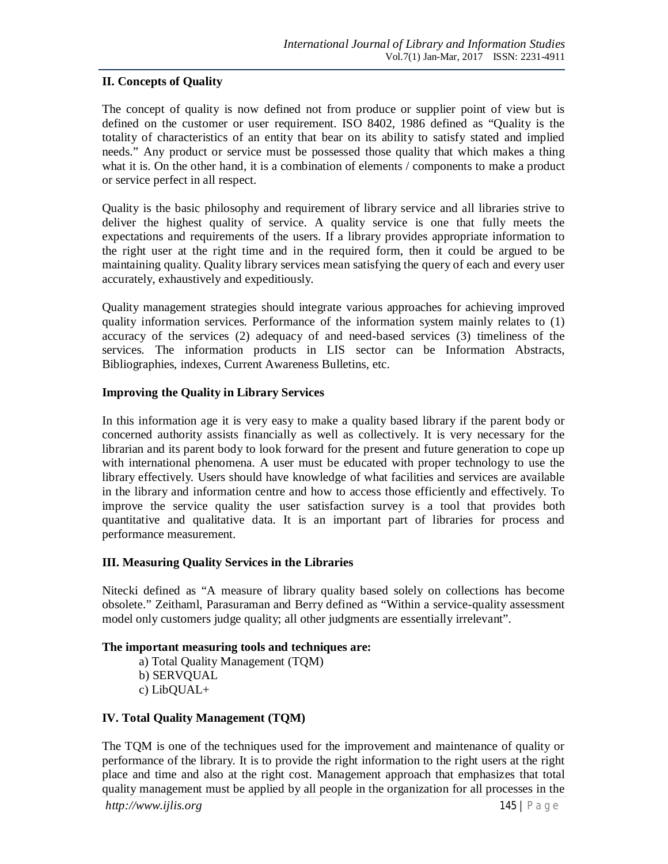## **II. Concepts of Quality**

The concept of quality is now defined not from produce or supplier point of view but is defined on the customer or user requirement. ISO 8402, 1986 defined as "Quality is the totality of characteristics of an entity that bear on its ability to satisfy stated and implied needs." Any product or service must be possessed those quality that which makes a thing what it is. On the other hand, it is a combination of elements / components to make a product or service perfect in all respect.

Quality is the basic philosophy and requirement of library service and all libraries strive to deliver the highest quality of service. A quality service is one that fully meets the expectations and requirements of the users. If a library provides appropriate information to the right user at the right time and in the required form, then it could be argued to be maintaining quality. Quality library services mean satisfying the query of each and every user accurately, exhaustively and expeditiously.

Quality management strategies should integrate various approaches for achieving improved quality information services. Performance of the information system mainly relates to (1) accuracy of the services (2) adequacy of and need-based services (3) timeliness of the services. The information products in LIS sector can be Information Abstracts, Bibliographies, indexes, Current Awareness Bulletins, etc.

## **Improving the Quality in Library Services**

In this information age it is very easy to make a quality based library if the parent body or concerned authority assists financially as well as collectively. It is very necessary for the librarian and its parent body to look forward for the present and future generation to cope up with international phenomena. A user must be educated with proper technology to use the library effectively. Users should have knowledge of what facilities and services are available in the library and information centre and how to access those efficiently and effectively. To improve the service quality the user satisfaction survey is a tool that provides both quantitative and qualitative data. It is an important part of libraries for process and performance measurement.

### **III. Measuring Quality Services in the Libraries**

Nitecki defined as "A measure of library quality based solely on collections has become obsolete." Zeithaml, Parasuraman and Berry defined as "Within a service-quality assessment model only customers judge quality; all other judgments are essentially irrelevant".

### **The important measuring tools and techniques are:**

a) Total Quality Management (TQM) b) SERVQUAL c) LibQUAL+

### **IV. Total Quality Management (TQM)**

The TQM is one of the techniques used for the improvement and maintenance of quality or performance of the library. It is to provide the right information to the right users at the right place and time and also at the right cost. Management approach that emphasizes that total quality management must be applied by all people in the organization for all processes in the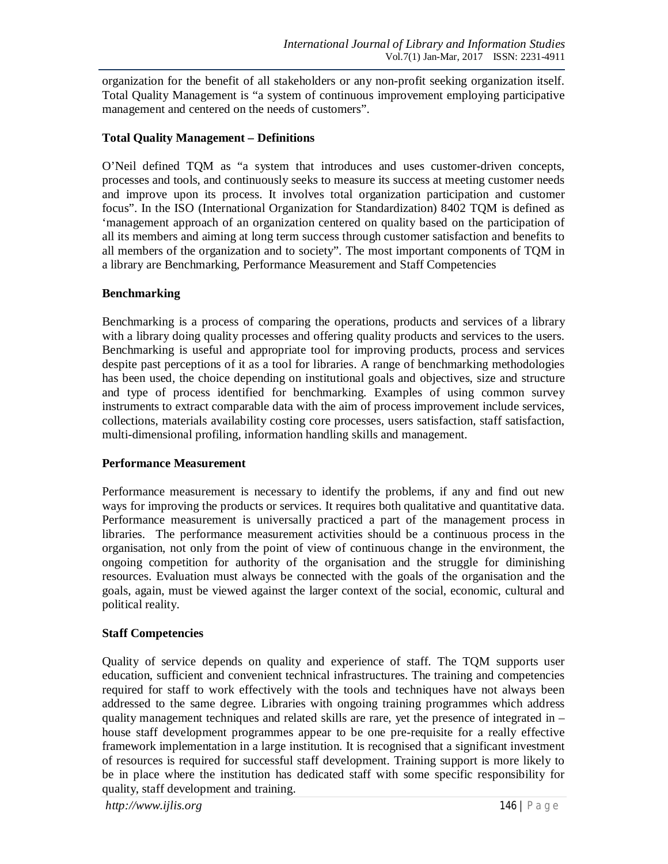organization for the benefit of all stakeholders or any non-profit seeking organization itself. Total Quality Management is "a system of continuous improvement employing participative management and centered on the needs of customers".

## **Total Quality Management – Definitions**

O'Neil defined TQM as "a system that introduces and uses customer-driven concepts, processes and tools, and continuously seeks to measure its success at meeting customer needs and improve upon its process. It involves total organization participation and customer focus". In the ISO (International Organization for Standardization) 8402 TQM is defined as 'management approach of an organization centered on quality based on the participation of all its members and aiming at long term success through customer satisfaction and benefits to all members of the organization and to society". The most important components of TQM in a library are Benchmarking, Performance Measurement and Staff Competencies

## **Benchmarking**

Benchmarking is a process of comparing the operations, products and services of a library with a library doing quality processes and offering quality products and services to the users. Benchmarking is useful and appropriate tool for improving products, process and services despite past perceptions of it as a tool for libraries. A range of benchmarking methodologies has been used, the choice depending on institutional goals and objectives, size and structure and type of process identified for benchmarking. Examples of using common survey instruments to extract comparable data with the aim of process improvement include services, collections, materials availability costing core processes, users satisfaction, staff satisfaction, multi-dimensional profiling, information handling skills and management.

### **Performance Measurement**

Performance measurement is necessary to identify the problems, if any and find out new ways for improving the products or services. It requires both qualitative and quantitative data. Performance measurement is universally practiced a part of the management process in libraries. The performance measurement activities should be a continuous process in the organisation, not only from the point of view of continuous change in the environment, the ongoing competition for authority of the organisation and the struggle for diminishing resources. Evaluation must always be connected with the goals of the organisation and the goals, again, must be viewed against the larger context of the social, economic, cultural and political reality.

### **Staff Competencies**

Quality of service depends on quality and experience of staff. The TQM supports user education, sufficient and convenient technical infrastructures. The training and competencies required for staff to work effectively with the tools and techniques have not always been addressed to the same degree. Libraries with ongoing training programmes which address quality management techniques and related skills are rare, yet the presence of integrated in – house staff development programmes appear to be one pre-requisite for a really effective framework implementation in a large institution. It is recognised that a significant investment of resources is required for successful staff development. Training support is more likely to be in place where the institution has dedicated staff with some specific responsibility for quality, staff development and training.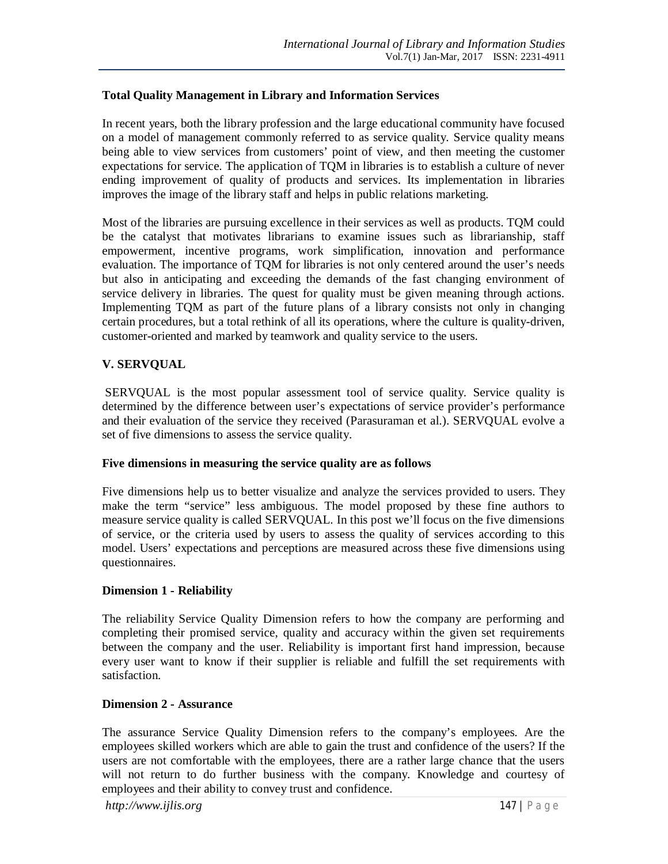## **Total Quality Management in Library and Information Services**

In recent years, both the library profession and the large educational community have focused on a model of management commonly referred to as service quality. Service quality means being able to view services from customers' point of view, and then meeting the customer expectations for service. The application of TQM in libraries is to establish a culture of never ending improvement of quality of products and services. Its implementation in libraries improves the image of the library staff and helps in public relations marketing.

Most of the libraries are pursuing excellence in their services as well as products. TQM could be the catalyst that motivates librarians to examine issues such as librarianship, staff empowerment, incentive programs, work simplification, innovation and performance evaluation. The importance of TQM for libraries is not only centered around the user's needs but also in anticipating and exceeding the demands of the fast changing environment of service delivery in libraries. The quest for quality must be given meaning through actions. Implementing TQM as part of the future plans of a library consists not only in changing certain procedures, but a total rethink of all its operations, where the culture is quality-driven, customer-oriented and marked by teamwork and quality service to the users.

## **V. SERVQUAL**

SERVQUAL is the most popular assessment tool of service quality. Service quality is determined by the difference between user's expectations of service provider's performance and their evaluation of the service they received (Parasuraman et al.). SERVQUAL evolve a set of five dimensions to assess the service quality.

### **Five dimensions in measuring the service quality are as follows**

Five dimensions help us to better visualize and analyze the services provided to users. They make the term "service" less ambiguous. The model proposed by these fine authors to measure service quality is called SERVQUAL. In this post we'll focus on the five dimensions of service, or the criteria used by users to assess the quality of services according to this model. Users' expectations and perceptions are measured across these five dimensions using questionnaires.

## **Dimension 1 - Reliability**

The reliability Service Quality Dimension refers to how the company are performing and completing their promised service, quality and accuracy within the given set requirements between the company and the user. Reliability is important first hand impression, because every user want to know if their supplier is reliable and fulfill the set requirements with satisfaction.

### **Dimension 2 - Assurance**

The assurance Service Quality Dimension refers to the company's employees. Are the employees skilled workers which are able to gain the trust and confidence of the users? If the users are not comfortable with the employees, there are a rather large chance that the users will not return to do further business with the company. Knowledge and courtesy of employees and their ability to convey trust and confidence.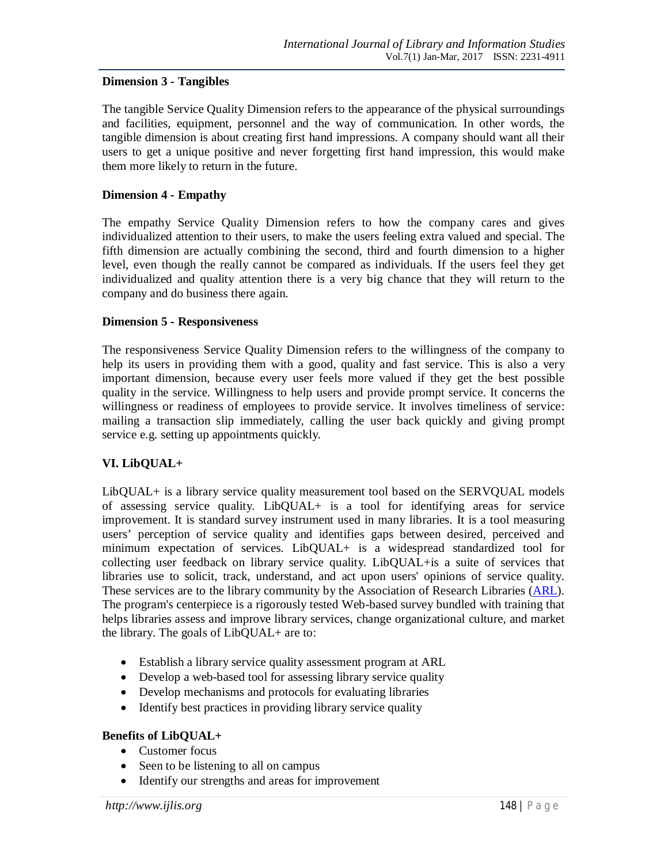## **Dimension 3 - Tangibles**

The tangible Service Quality Dimension refers to the appearance of the physical surroundings and facilities, equipment, personnel and the way of communication. In other words, the tangible dimension is about creating first hand impressions. A company should want all their users to get a unique positive and never forgetting first hand impression, this would make them more likely to return in the future.

## **Dimension 4 - Empathy**

The empathy Service Quality Dimension refers to how the company cares and gives individualized attention to their users, to make the users feeling extra valued and special. The fifth dimension are actually combining the second, third and fourth dimension to a higher level, even though the really cannot be compared as individuals. If the users feel they get individualized and quality attention there is a very big chance that they will return to the company and do business there again.

## **Dimension 5 - Responsiveness**

The responsiveness Service Quality Dimension refers to the willingness of the company to help its users in providing them with a good, quality and fast service. This is also a very important dimension, because every user feels more valued if they get the best possible quality in the service. Willingness to help users and provide prompt service. It concerns the willingness or readiness of employees to provide service. It involves timeliness of service: mailing a transaction slip immediately, calling the user back quickly and giving prompt service e.g. setting up appointments quickly.

## **VI. LibQUAL+**

LibQUAL+ is a library service quality measurement tool based on the SERVQUAL models of assessing service quality. LibQUAL+ is a tool for identifying areas for service improvement. It is standard survey instrument used in many libraries. It is a tool measuring users' perception of service quality and identifies gaps between desired, perceived and minimum expectation of services. LibQUAL+ is a widespread standardized tool for collecting user feedback on library service quality. LibQUAL+is a suite of services that libraries use to solicit, track, understand, and act upon users' opinions of service quality. These services are to the library community by the Association of Research Libraries (ARL). The program's centerpiece is a rigorously tested Web-based survey bundled with training that helps libraries assess and improve library services, change organizational culture, and market the library. The goals of LibQUAL+ are to:

- Establish a library service quality assessment program at ARL
- Develop a web-based tool for assessing library service quality
- Develop mechanisms and protocols for evaluating libraries
- Identify best practices in providing library service quality

### **Benefits of LibQUAL+**

- Customer focus
- Seen to be listening to all on campus
- Identify our strengths and areas for improvement